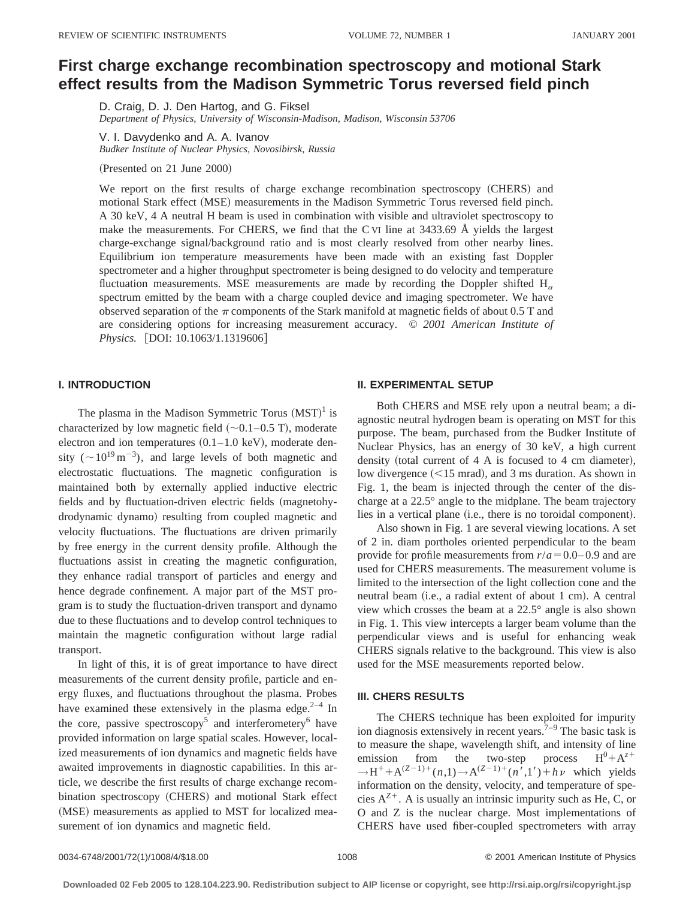# **First charge exchange recombination spectroscopy and motional Stark effect results from the Madison Symmetric Torus reversed field pinch**

D. Craig, D. J. Den Hartog, and G. Fiksel *Department of Physics, University of Wisconsin-Madison, Madison, Wisconsin 53706*

V. I. Davydenko and A. A. Ivanov *Budker Institute of Nuclear Physics, Novosibirsk, Russia*

(Presented on 21 June 2000)

We report on the first results of charge exchange recombination spectroscopy (CHERS) and motional Stark effect (MSE) measurements in the Madison Symmetric Torus reversed field pinch. A 30 keV, 4 A neutral H beam is used in combination with visible and ultraviolet spectroscopy to make the measurements. For CHERS, we find that the C VI line at 3433.69 Å yields the largest charge-exchange signal/background ratio and is most clearly resolved from other nearby lines. Equilibrium ion temperature measurements have been made with an existing fast Doppler spectrometer and a higher throughput spectrometer is being designed to do velocity and temperature fluctuation measurements. MSE measurements are made by recording the Doppler shifted  $H_{\alpha}$ spectrum emitted by the beam with a charge coupled device and imaging spectrometer. We have observed separation of the  $\pi$  components of the Stark manifold at magnetic fields of about 0.5 T and are considering options for increasing measurement accuracy. © *2001 American Institute of Physics.* [DOI: 10.1063/1.1319606]

## **I. INTRODUCTION**

The plasma in the Madison Symmetric Torus  $(MST)^1$  is characterized by low magnetic field  $(\sim 0.1-0.5 \text{ T})$ , moderate electron and ion temperatures  $(0.1-1.0 \text{ keV})$ , moderate density ( $\sim 10^{19} \text{ m}^{-3}$ ), and large levels of both magnetic and electrostatic fluctuations. The magnetic configuration is maintained both by externally applied inductive electric fields and by fluctuation-driven electric fields (magnetohydrodynamic dynamo) resulting from coupled magnetic and velocity fluctuations. The fluctuations are driven primarily by free energy in the current density profile. Although the fluctuations assist in creating the magnetic configuration, they enhance radial transport of particles and energy and hence degrade confinement. A major part of the MST program is to study the fluctuation-driven transport and dynamo due to these fluctuations and to develop control techniques to maintain the magnetic configuration without large radial transport.

In light of this, it is of great importance to have direct measurements of the current density profile, particle and energy fluxes, and fluctuations throughout the plasma. Probes have examined these extensively in the plasma edge. $2-4$  In the core, passive spectroscopy<sup>5</sup> and interferometery<sup>6</sup> have provided information on large spatial scales. However, localized measurements of ion dynamics and magnetic fields have awaited improvements in diagnostic capabilities. In this article, we describe the first results of charge exchange recombination spectroscopy (CHERS) and motional Stark effect (MSE) measurements as applied to MST for localized measurement of ion dynamics and magnetic field.

### **II. EXPERIMENTAL SETUP**

Both CHERS and MSE rely upon a neutral beam; a diagnostic neutral hydrogen beam is operating on MST for this purpose. The beam, purchased from the Budker Institute of Nuclear Physics, has an energy of 30 keV, a high current density (total current of  $4 \text{ A}$  is focused to  $4 \text{ cm}$  diameter), low divergence  $(<15$  mrad), and 3 ms duration. As shown in Fig. 1, the beam is injected through the center of the discharge at a 22.5° angle to the midplane. The beam trajectory lies in a vertical plane (i.e., there is no toroidal component).

Also shown in Fig. 1 are several viewing locations. A set of 2 in. diam portholes oriented perpendicular to the beam provide for profile measurements from  $r/a = 0.0 - 0.9$  and are used for CHERS measurements. The measurement volume is limited to the intersection of the light collection cone and the neutral beam (i.e., a radial extent of about 1 cm). A central view which crosses the beam at a 22.5° angle is also shown in Fig. 1. This view intercepts a larger beam volume than the perpendicular views and is useful for enhancing weak CHERS signals relative to the background. This view is also used for the MSE measurements reported below.

#### **III. CHERS RESULTS**

The CHERS technique has been exploited for impurity ion diagnosis extensively in recent years.<sup> $7-9$ </sup> The basic task is to measure the shape, wavelength shift, and intensity of line emission from the two-step process  $H^0 + A^{z+}$  $\rightarrow$ H<sup>+</sup>+A<sup>(*Z*-1)+</sup>(*n*,1)→A<sup>(*Z*-1)+</sup>(*n*<sup>7</sup>,1')+*hv* which yields information on the density, velocity, and temperature of species  $A^{Z+}$ . A is usually an intrinsic impurity such as He, C, or O and Z is the nuclear charge. Most implementations of CHERS have used fiber-coupled spectrometers with array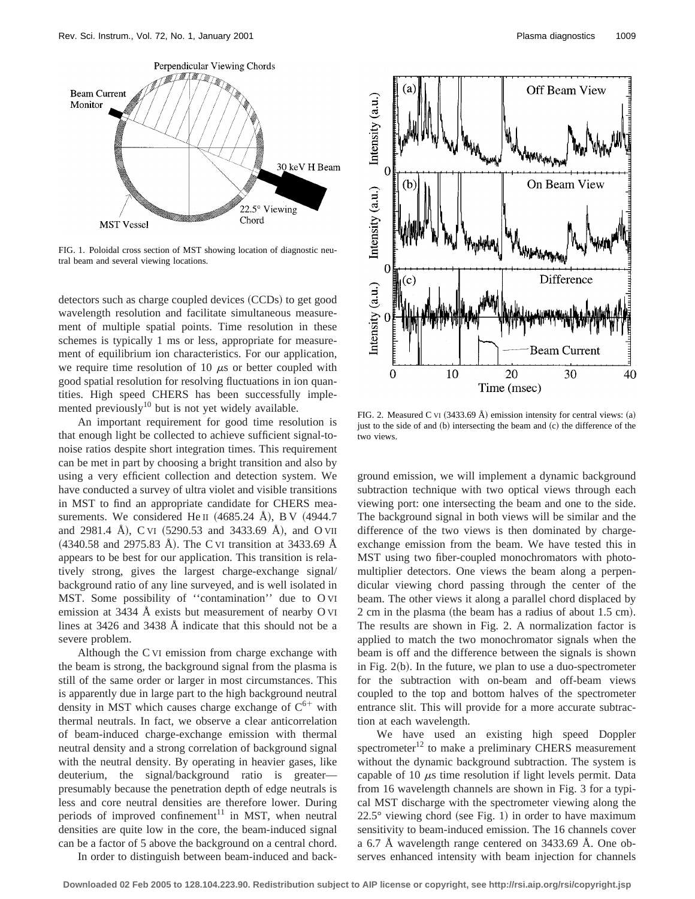

FIG. 1. Poloidal cross section of MST showing location of diagnostic neutral beam and several viewing locations.

detectors such as charge coupled devices (CCDs) to get good wavelength resolution and facilitate simultaneous measurement of multiple spatial points. Time resolution in these schemes is typically 1 ms or less, appropriate for measurement of equilibrium ion characteristics. For our application, we require time resolution of 10  $\mu$ s or better coupled with good spatial resolution for resolving fluctuations in ion quantities. High speed CHERS has been successfully implemented previously $10$  but is not yet widely available.

An important requirement for good time resolution is that enough light be collected to achieve sufficient signal-tonoise ratios despite short integration times. This requirement can be met in part by choosing a bright transition and also by using a very efficient collection and detection system. We have conducted a survey of ultra violet and visible transitions in MST to find an appropriate candidate for CHERS measurements. We considered He II  $(4685.24 \text{ Å})$ , BV  $(4944.7$ and 2981.4 Å), C VI (5290.53 and 3433.69 Å), and O VII  $(4340.58$  and 2975.83 Å). The C VI transition at 3433.69 Å appears to be best for our application. This transition is relatively strong, gives the largest charge-exchange signal/ background ratio of any line surveyed, and is well isolated in MST. Some possibility of ''contamination'' due to O VI emission at 3434 Å exists but measurement of nearby O VI lines at 3426 and 3438 Å indicate that this should not be a severe problem.

Although the C VI emission from charge exchange with the beam is strong, the background signal from the plasma is still of the same order or larger in most circumstances. This is apparently due in large part to the high background neutral density in MST which causes charge exchange of  $C^{6+}$  with thermal neutrals. In fact, we observe a clear anticorrelation of beam-induced charge-exchange emission with thermal neutral density and a strong correlation of background signal with the neutral density. By operating in heavier gases, like deuterium, the signal/background ratio is greater presumably because the penetration depth of edge neutrals is less and core neutral densities are therefore lower. During periods of improved confinement<sup>11</sup> in MST, when neutral densities are quite low in the core, the beam-induced signal can be a factor of 5 above the background on a central chord.

In order to distinguish between beam-induced and back-



FIG. 2. Measured C vI (3433.69 Å) emission intensity for central views: (a) just to the side of and (b) intersecting the beam and (c) the difference of the two views.

ground emission, we will implement a dynamic background subtraction technique with two optical views through each viewing port: one intersecting the beam and one to the side. The background signal in both views will be similar and the difference of the two views is then dominated by chargeexchange emission from the beam. We have tested this in MST using two fiber-coupled monochromators with photomultiplier detectors. One views the beam along a perpendicular viewing chord passing through the center of the beam. The other views it along a parallel chord displaced by  $2 cm$  in the plasma (the beam has a radius of about 1.5 cm). The results are shown in Fig. 2. A normalization factor is applied to match the two monochromator signals when the beam is off and the difference between the signals is shown in Fig.  $2(b)$ . In the future, we plan to use a duo-spectrometer for the subtraction with on-beam and off-beam views coupled to the top and bottom halves of the spectrometer entrance slit. This will provide for a more accurate subtraction at each wavelength.

We have used an existing high speed Doppler spectrometer $^{12}$  to make a preliminary CHERS measurement without the dynamic background subtraction. The system is capable of 10  $\mu$ s time resolution if light levels permit. Data from 16 wavelength channels are shown in Fig. 3 for a typical MST discharge with the spectrometer viewing along the  $22.5^{\circ}$  viewing chord (see Fig. 1) in order to have maximum sensitivity to beam-induced emission. The 16 channels cover a 6.7 Å wavelength range centered on 3433.69 Å. One observes enhanced intensity with beam injection for channels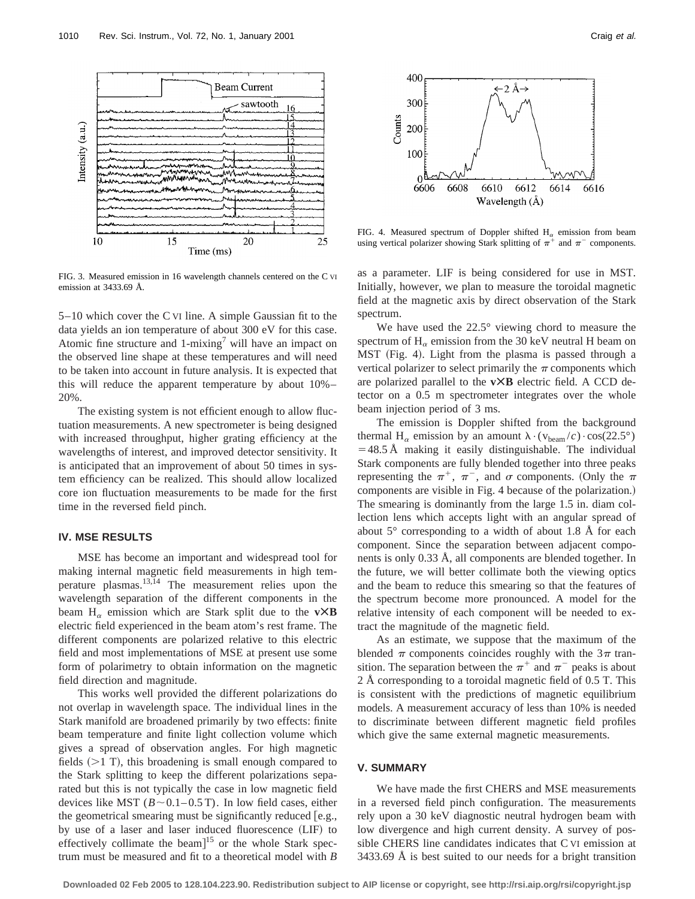

FIG. 3. Measured emission in 16 wavelength channels centered on the C VI emission at 3433.69 Å.

5–10 which cover the C VI line. A simple Gaussian fit to the data yields an ion temperature of about 300 eV for this case. Atomic fine structure and 1-mixing<sup>7</sup> will have an impact on the observed line shape at these temperatures and will need to be taken into account in future analysis. It is expected that this will reduce the apparent temperature by about 10%– 20%.

The existing system is not efficient enough to allow fluctuation measurements. A new spectrometer is being designed with increased throughput, higher grating efficiency at the wavelengths of interest, and improved detector sensitivity. It is anticipated that an improvement of about 50 times in system efficiency can be realized. This should allow localized core ion fluctuation measurements to be made for the first time in the reversed field pinch.

## **IV. MSE RESULTS**

MSE has become an important and widespread tool for making internal magnetic field measurements in high temperature plasmas. $13,14$  The measurement relies upon the wavelength separation of the different components in the beam  $H_{\alpha}$  emission which are Stark split due to the **v** $\times$ **B** electric field experienced in the beam atom's rest frame. The different components are polarized relative to this electric field and most implementations of MSE at present use some form of polarimetry to obtain information on the magnetic field direction and magnitude.

This works well provided the different polarizations do not overlap in wavelength space. The individual lines in the Stark manifold are broadened primarily by two effects: finite beam temperature and finite light collection volume which gives a spread of observation angles. For high magnetic fields  $(>1$  T), this broadening is small enough compared to the Stark splitting to keep the different polarizations separated but this is not typically the case in low magnetic field devices like MST ( $B \sim 0.1 - 0.5$  T). In low field cases, either the geometrical smearing must be significantly reduced  $[e.g.,]$ by use of a laser and laser induced fluorescence (LIF) to effectively collimate the beam $]^{15}$  or the whole Stark spectrum must be measured and fit to a theoretical model with *B*





FIG. 4. Measured spectrum of Doppler shifted  $H_{\alpha}$  emission from beam using vertical polarizer showing Stark splitting of  $\pi^+$  and  $\pi^-$  components.

as a parameter. LIF is being considered for use in MST. Initially, however, we plan to measure the toroidal magnetic field at the magnetic axis by direct observation of the Stark spectrum.

We have used the 22.5° viewing chord to measure the spectrum of  $H_{\alpha}$  emission from the 30 keV neutral H beam on MST (Fig. 4). Light from the plasma is passed through a vertical polarizer to select primarily the  $\pi$  components which are polarized parallel to the **vÃB** electric field. A CCD detector on a 0.5 m spectrometer integrates over the whole beam injection period of 3 ms.

The emission is Doppler shifted from the background thermal H<sub> $\alpha$ </sub> emission by an amount  $\lambda \cdot (v_{\text{beam}}/c) \cdot \cos(22.5^{\circ})$  $=48.5$  Å making it easily distinguishable. The individual Stark components are fully blended together into three peaks representing the  $\pi^+$ ,  $\pi^-$ , and  $\sigma$  components. (Only the  $\pi$ components are visible in Fig. 4 because of the polarization.) The smearing is dominantly from the large 1.5 in. diam collection lens which accepts light with an angular spread of about  $5^\circ$  corresponding to a width of about 1.8 Å for each component. Since the separation between adjacent components is only 0.33 Å, all components are blended together. In the future, we will better collimate both the viewing optics and the beam to reduce this smearing so that the features of the spectrum become more pronounced. A model for the relative intensity of each component will be needed to extract the magnitude of the magnetic field.

As an estimate, we suppose that the maximum of the blended  $\pi$  components coincides roughly with the  $3\pi$  transition. The separation between the  $\pi^+$  and  $\pi^-$  peaks is about 2 Å corresponding to a toroidal magnetic field of 0.5 T. This is consistent with the predictions of magnetic equilibrium models. A measurement accuracy of less than 10% is needed to discriminate between different magnetic field profiles which give the same external magnetic measurements.

# **V. SUMMARY**

We have made the first CHERS and MSE measurements in a reversed field pinch configuration. The measurements rely upon a 30 keV diagnostic neutral hydrogen beam with low divergence and high current density. A survey of possible CHERS line candidates indicates that C VI emission at 3433.69 Å is best suited to our needs for a bright transition